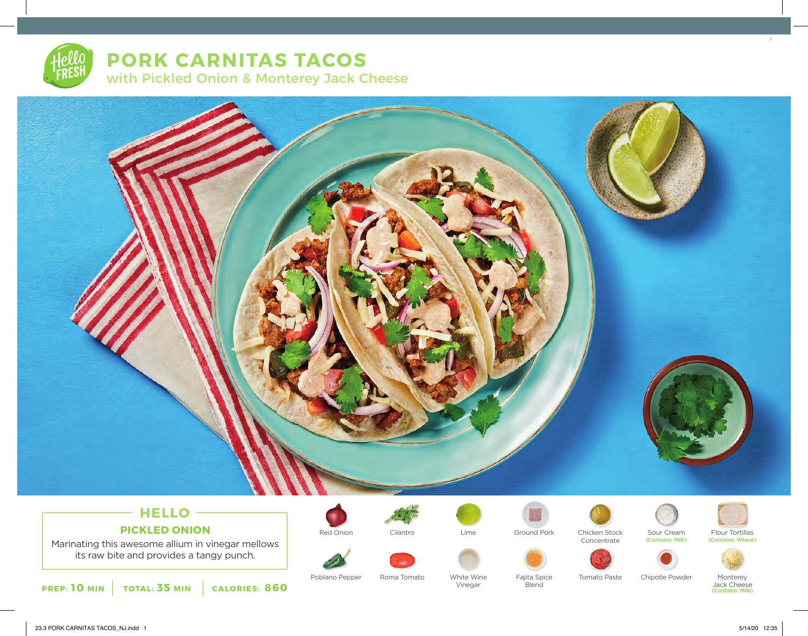# **PORK CARNITAS TACOS** with Pickled Onion & Monterey Jack Cheese



## **HELLO PICKLED ONION**

Marinating this awesome allium in vinegar mellows its raw bite and provides a tangy punch.

**PREP: 10 MIN TOTAL: 35 MIN CALORIES: 860**



Red Onion Cilantro Lime Ground Pork Chicken Stock Sour Cream

Vinegar

Poblano Pepper Roma Tomato Vhite Wine Fajita Spice





Blend



(Contains: Milk)



(Contains: Wheat)



Roma Tomato Mhite Wine Fajita Spice Tomato Paste Chipotle Powder Monterey Jack Cheese (Contains: Milk) 3